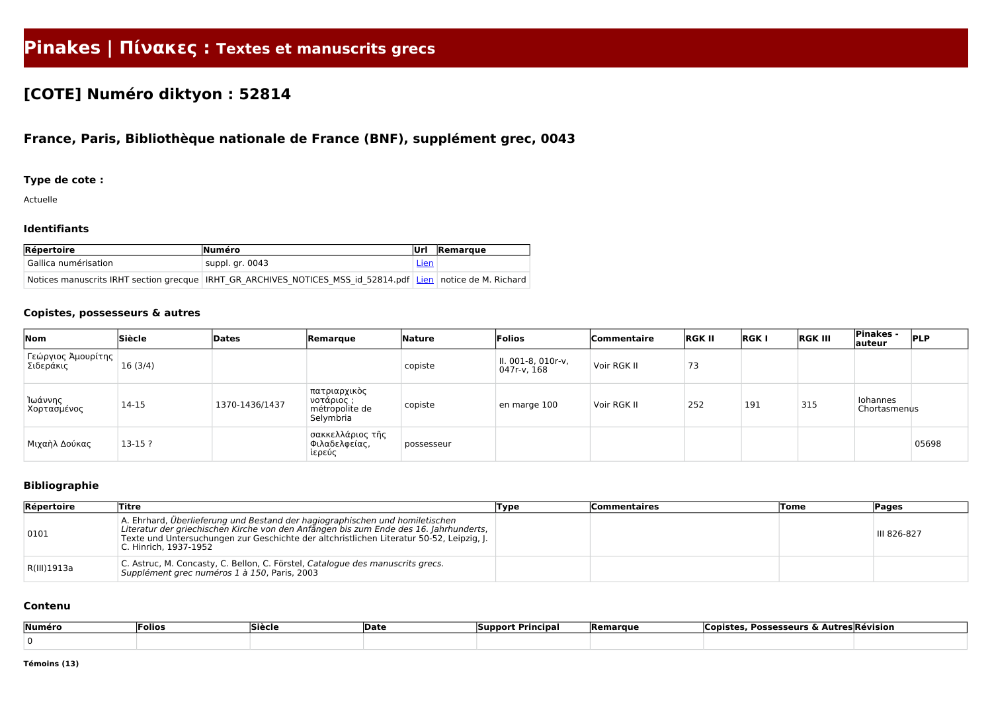# **Pinakes | Πίνακες : Textes et manuscrits grecs**

# **[COTE] Numéro diktyon : 52814**

# **France, Paris, Bibliothèque nationale de France (BNF), supplément grec, 0043**

## **Type de cote :**

Actuelle

#### **Identifiants**

| $Re$ pertoire        | <b>Numéro</b>                                                                                               |             | Remarque |
|----------------------|-------------------------------------------------------------------------------------------------------------|-------------|----------|
| Gallica numérisation | suppl. gr. 0043                                                                                             | <u>Lien</u> |          |
|                      | Notices manuscrits IRHT section grecque IRHT GR ARCHIVES NOTICES MSS id 52814.pdf Lien notice de M. Richard |             |          |

### **Copistes, possesseurs & autres**

| Nom                               | Siècle   | Dates          | Remarque                                                  | Nature     | Folios                            | <b>Commentaire</b> | <b>RGK II</b> | <b>RGKI</b> | <b>RGK III</b> | <b>Pinakes -</b><br>auteur | <b>PLP</b> |
|-----------------------------------|----------|----------------|-----------------------------------------------------------|------------|-----------------------------------|--------------------|---------------|-------------|----------------|----------------------------|------------|
| Γεώργιος Άμουρίτης  <br>Σιδεράκις | 16(3/4)  |                |                                                           | copiste    | II. 001-8, 010r-v,<br>047r-v, 168 | Voir RGK II        | 73            |             |                |                            |            |
| Ίωάννης<br>Χορτασμένος            | 14-15    | 1370-1436/1437 | πατριαρχικὸς<br>νοτάριος ;<br>métropolite de<br>Selymbria | copiste    | en marge 100                      | Voir RGK II        | 252           | 191         | 315            | Iohannes<br>Chortasmenus   |            |
| Μιχαὴλ Δούκας                     | $13-15?$ |                | σακκελλάριος τῆς<br>Φιλαδελφείας,<br>ἱερεύς               | possesseur |                                   |                    |               |             |                |                            | 05698      |

## **Bibliographie**

| Répertoire  | <b>Titre</b>                                                                                                                                                                                                                                                                               | Type | <b>Commentaires</b> | <b>Tome</b> | Pages       |
|-------------|--------------------------------------------------------------------------------------------------------------------------------------------------------------------------------------------------------------------------------------------------------------------------------------------|------|---------------------|-------------|-------------|
| 0101        | A. Ehrhard, Überlieferung und Bestand der hagiographischen und homiletischen<br>Literatur der griechischen Kirche von den Anfängen bis zum Ende des 16. Jahrhunderts,<br>Texte und Untersuchungen zur Geschichte der altchristlichen Literatur 50-52, Leipzig, J.<br>C. Hinrich, 1937-1952 |      |                     |             | III 826-827 |
| R(III)1913a | C. Astruc, M. Concasty, C. Bellon, C. Förstel, Catalogue des manuscrits grecs.<br>Supplément grec numéros 1 à 150, Paris, 2003                                                                                                                                                             |      |                     |             |             |

#### **Contenu**

| Numéro | Folios | <b>Siècle</b> | <b>'Date</b> | <b>Principa</b><br>'nnort | <b>IRemarque</b> | Autres Révision ،<br><b>Possesseurs</b><br>Copiste<br>$\sim$ |  |  |  |
|--------|--------|---------------|--------------|---------------------------|------------------|--------------------------------------------------------------|--|--|--|
|        |        |               |              |                           |                  |                                                              |  |  |  |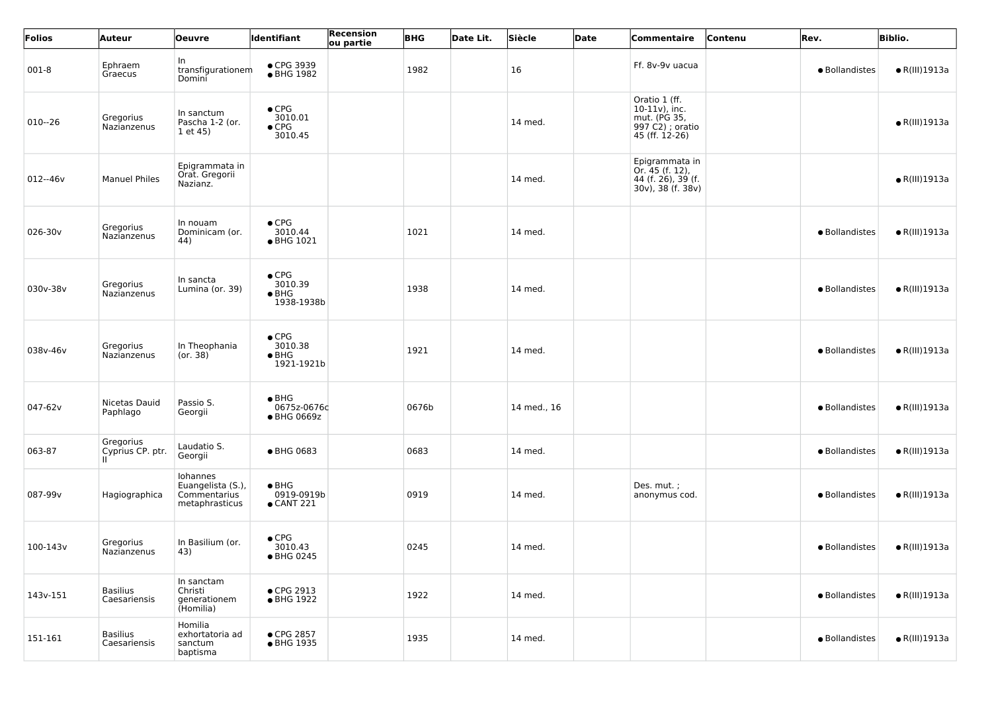| Folios      | Auteur                              | <b>Oeuvre</b>                                                   | Identifiant                                             | Recension<br>ou partie | <b>BHG</b> | Date Lit. | Siècle      | Date | Commentaire                                                                            | Contenu | Rev.           | <b>Biblio.</b>        |
|-------------|-------------------------------------|-----------------------------------------------------------------|---------------------------------------------------------|------------------------|------------|-----------|-------------|------|----------------------------------------------------------------------------------------|---------|----------------|-----------------------|
| $001 - 8$   | Ephraem<br>Graecus                  | In<br>transfigurationem<br>Domini                               | • CPG 3939<br>● BHG 1982                                |                        | 1982       |           | 16          |      | Ff. 8v-9v uacua                                                                        |         | · Bollandistes | $\bullet$ R(III)1913a |
| $010 - 26$  | Gregorius<br>Nazianzenus            | In sanctum<br>Pascha 1-2 (or.<br>1 et 45)                       | $\bullet$ CPG<br>3010.01<br>$\bullet$ CPG<br>3010.45    |                        |            |           | 14 med.     |      | Oratio 1 (ff.<br>$10-11v$ , inc.<br>mut. (PG 35,<br>997 C2) ; oratio<br>45 (ff. 12-26) |         |                | $\bullet$ R(III)1913a |
| $012 - 46v$ | <b>Manuel Philes</b>                | Epigrammata in<br>Orat. Gregorii<br>Nazianz.                    |                                                         |                        |            |           | 14 med.     |      | Epigrammata in<br>Or. 45 (f. 12),<br>44 (f. 26), 39 (f.<br>30v), 38 (f. 38v)           |         |                | $\bullet$ R(III)1913a |
| 026-30v     | Gregorius<br>Nazianzenus            | In nouam<br>Dominicam (or.<br>44)                               | $\bullet$ CPG<br>3010.44<br>• BHG 1021                  |                        | 1021       |           | 14 med.     |      |                                                                                        |         | · Bollandistes | $\bullet$ R(III)1913a |
| 030v-38v    | Gregorius<br>Nazianzenus            | In sancta<br>Lumina (or. 39)                                    | $\bullet$ CPG<br>3010.39<br>$\bullet$ BHG<br>1938-1938b |                        | 1938       |           | 14 med.     |      |                                                                                        |         | · Bollandistes | $\bullet$ R(III)1913a |
| 038v-46v    | Gregorius<br>Nazianzenus            | In Theophania<br>(or. 38)                                       | $\bullet$ CPG<br>3010.38<br>$\bullet$ BHG<br>1921-1921b |                        | 1921       |           | 14 med.     |      |                                                                                        |         | · Bollandistes | $\bullet$ R(III)1913a |
| 047-62v     | Nicetas Dauid<br>Paphlago           | Passio S.<br>Georgii                                            | $\bullet$ BHG<br>0675z-0676c<br>● BHG 0669z             |                        | 0676b      |           | 14 med., 16 |      |                                                                                        |         | · Bollandistes | $\bullet$ R(III)1913a |
| 063-87      | Gregorius<br>Cyprius CP. ptr.<br>н. | Laudatio S.<br>Georgii                                          | ● BHG 0683                                              |                        | 0683       |           | 14 med.     |      |                                                                                        |         | · Bollandistes | $\bullet$ R(III)1913a |
| 087-99v     | Hagiographica                       | Iohannes<br>Euangelista (S.),<br>Commentarius<br>metaphrasticus | $\bullet$ BHG<br>0919-0919b<br>$\bullet$ CANT 221       |                        | 0919       |           | 14 med.     |      | Des. mut.;<br>anonymus cod.                                                            |         | · Bollandistes | $\bullet$ R(III)1913a |
| 100-143v    | Gregorius<br>Nazianzenus            | In Basilium (or.<br>43)                                         | $\bullet$ CPG<br>3010.43<br>● BHG 0245                  |                        | 0245       |           | 14 med.     |      |                                                                                        |         | · Bollandistes | $\bullet$ R(III)1913a |
| 143v-151    | <b>Basilius</b><br>Caesariensis     | In sanctam<br>Christi<br>generationem<br>(Homilia)              | • CPG 2913<br>• BHG 1922                                |                        | 1922       |           | 14 med.     |      |                                                                                        |         | · Bollandistes | $\bullet$ R(III)1913a |
| 151-161     | <b>Basilius</b><br>Caesariensis     | Homilia<br>exhortatoria ad<br>sanctum<br>baptisma               | ● CPG 2857<br>• BHG 1935                                |                        | 1935       |           | 14 med.     |      |                                                                                        |         | · Bollandistes | $\bullet$ R(III)1913a |